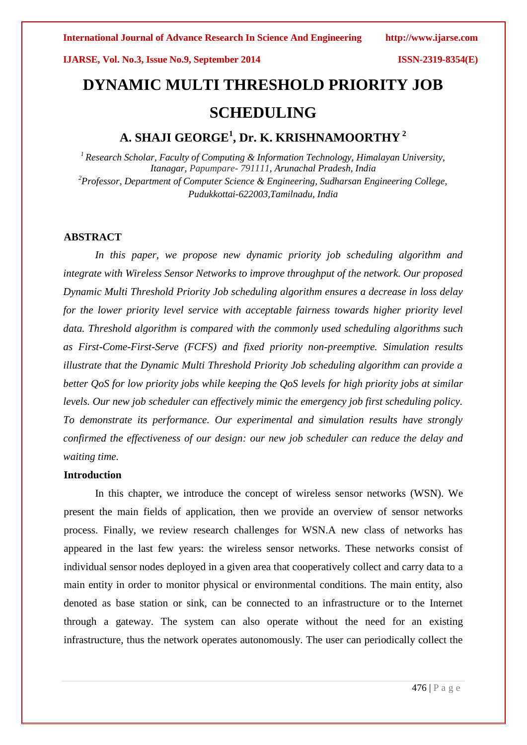# **DYNAMIC MULTI THRESHOLD PRIORITY JOB SCHEDULING**

# **A. SHAJI GEORGE<sup>1</sup> , Dr. K. KRISHNAMOORTHY <sup>2</sup>**

*<sup>1</sup>Research Scholar, Faculty of Computing & Information Technology, Himalayan University, Itanagar, Papumpare- 791111, Arunachal Pradesh, India <sup>2</sup>Professor, Department of Computer Science & Engineering, Sudharsan Engineering College, Pudukkottai-622003,Tamilnadu, India*

### **ABSTRACT**

*In this paper, we propose new dynamic priority job scheduling algorithm and integrate with Wireless Sensor Networks to improve throughput of the network. Our proposed Dynamic Multi Threshold Priority Job scheduling algorithm ensures a decrease in loss delay for the lower priority level service with acceptable fairness towards higher priority level data. Threshold algorithm is compared with the commonly used scheduling algorithms such as First-Come-First-Serve (FCFS) and fixed priority non-preemptive. Simulation results illustrate that the Dynamic Multi Threshold Priority Job scheduling algorithm can provide a better QoS for low priority jobs while keeping the QoS levels for high priority jobs at similar levels. Our new job scheduler can effectively mimic the emergency job first scheduling policy. To demonstrate its performance. Our experimental and simulation results have strongly confirmed the effectiveness of our design: our new job scheduler can reduce the delay and waiting time.*

### **Introduction**

In this chapter, we introduce the concept of wireless sensor networks (WSN). We present the main fields of application, then we provide an overview of sensor networks process. Finally, we review research challenges for WSN.A new class of networks has appeared in the last few years: the wireless sensor networks. These networks consist of individual sensor nodes deployed in a given area that cooperatively collect and carry data to a main entity in order to monitor physical or environmental conditions. The main entity, also denoted as base station or sink, can be connected to an infrastructure or to the Internet through a gateway. The system can also operate without the need for an existing infrastructure, thus the network operates autonomously. The user can periodically collect the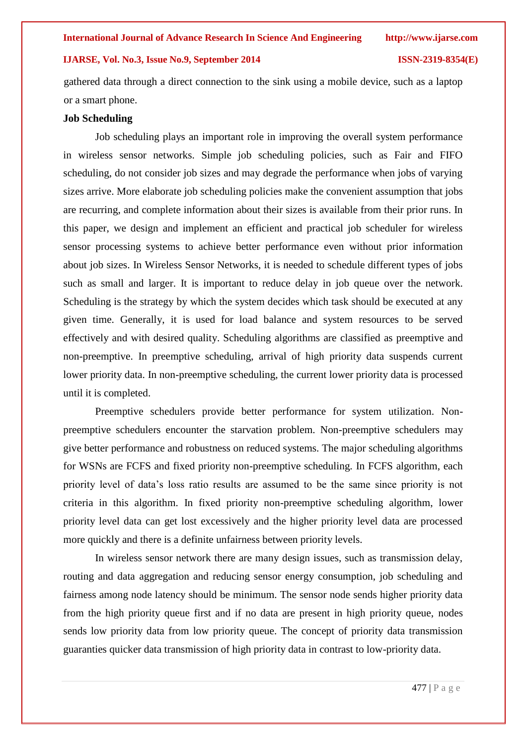gathered data through a direct connection to the sink using a mobile device, such as a laptop or a smart phone.

#### **Job Scheduling**

Job scheduling plays an important role in improving the overall system performance in wireless sensor networks. Simple job scheduling policies, such as Fair and FIFO scheduling, do not consider job sizes and may degrade the performance when jobs of varying sizes arrive. More elaborate job scheduling policies make the convenient assumption that jobs are recurring, and complete information about their sizes is available from their prior runs. In this paper, we design and implement an efficient and practical job scheduler for wireless sensor processing systems to achieve better performance even without prior information about job sizes. In Wireless Sensor Networks, it is needed to schedule different types of jobs such as small and larger. It is important to reduce delay in job queue over the network. Scheduling is the strategy by which the system decides which task should be executed at any given time. Generally, it is used for load balance and system resources to be served effectively and with desired quality. Scheduling algorithms are classified as preemptive and non-preemptive. In preemptive scheduling, arrival of high priority data suspends current lower priority data. In non-preemptive scheduling, the current lower priority data is processed until it is completed.

Preemptive schedulers provide better performance for system utilization. Nonpreemptive schedulers encounter the starvation problem. Non-preemptive schedulers may give better performance and robustness on reduced systems. The major scheduling algorithms for WSNs are FCFS and fixed priority non-preemptive scheduling. In FCFS algorithm, each priority level of data's loss ratio results are assumed to be the same since priority is not criteria in this algorithm. In fixed priority non-preemptive scheduling algorithm, lower priority level data can get lost excessively and the higher priority level data are processed more quickly and there is a definite unfairness between priority levels.

In wireless sensor network there are many design issues, such as transmission delay, routing and data aggregation and reducing sensor energy consumption, job scheduling and fairness among node latency should be minimum. The sensor node sends higher priority data from the high priority queue first and if no data are present in high priority queue, nodes sends low priority data from low priority queue. The concept of priority data transmission guaranties quicker data transmission of high priority data in contrast to low-priority data.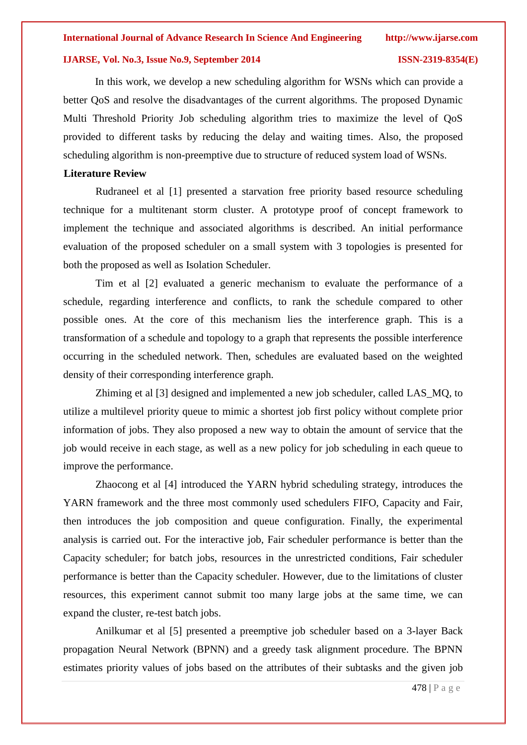In this work, we develop a new scheduling algorithm for WSNs which can provide a better QoS and resolve the disadvantages of the current algorithms. The proposed Dynamic Multi Threshold Priority Job scheduling algorithm tries to maximize the level of QoS provided to different tasks by reducing the delay and waiting times. Also, the proposed scheduling algorithm is non-preemptive due to structure of reduced system load of WSNs.

### **Literature Review**

Rudraneel et al [1] presented a starvation free priority based resource scheduling technique for a multitenant storm cluster. A prototype proof of concept framework to implement the technique and associated algorithms is described. An initial performance evaluation of the proposed scheduler on a small system with 3 topologies is presented for both the proposed as well as Isolation Scheduler.

Tim et al [2] evaluated a generic mechanism to evaluate the performance of a schedule, regarding interference and conflicts, to rank the schedule compared to other possible ones. At the core of this mechanism lies the interference graph. This is a transformation of a schedule and topology to a graph that represents the possible interference occurring in the scheduled network. Then, schedules are evaluated based on the weighted density of their corresponding interference graph.

Zhiming et al [3] designed and implemented a new job scheduler, called LAS\_MQ, to utilize a multilevel priority queue to mimic a shortest job first policy without complete prior information of jobs. They also proposed a new way to obtain the amount of service that the job would receive in each stage, as well as a new policy for job scheduling in each queue to improve the performance.

Zhaocong et al [4] introduced the YARN hybrid scheduling strategy, introduces the YARN framework and the three most commonly used schedulers FIFO, Capacity and Fair, then introduces the job composition and queue configuration. Finally, the experimental analysis is carried out. For the interactive job, Fair scheduler performance is better than the Capacity scheduler; for batch jobs, resources in the unrestricted conditions, Fair scheduler performance is better than the Capacity scheduler. However, due to the limitations of cluster resources, this experiment cannot submit too many large jobs at the same time, we can expand the cluster, re-test batch jobs.

Anilkumar et al [5] presented a preemptive job scheduler based on a 3-layer Back propagation Neural Network (BPNN) and a greedy task alignment procedure. The BPNN estimates priority values of jobs based on the attributes of their subtasks and the given job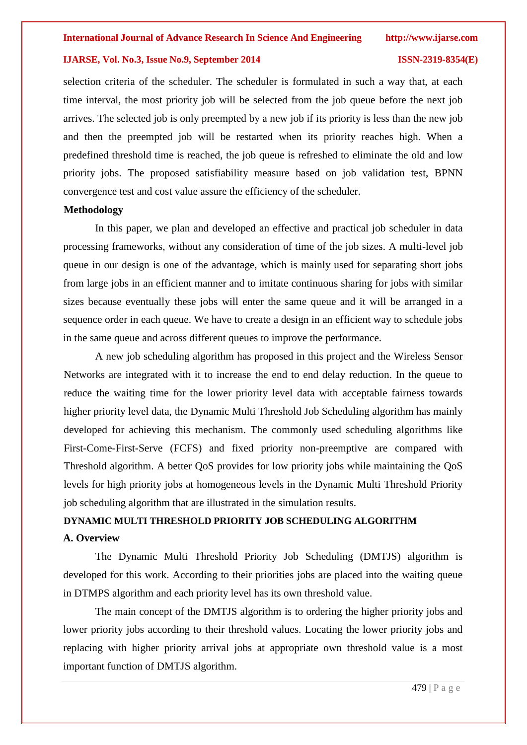selection criteria of the scheduler. The scheduler is formulated in such a way that, at each time interval, the most priority job will be selected from the job queue before the next job arrives. The selected job is only preempted by a new job if its priority is less than the new job and then the preempted job will be restarted when its priority reaches high. When a predefined threshold time is reached, the job queue is refreshed to eliminate the old and low priority jobs. The proposed satisfiability measure based on job validation test, BPNN convergence test and cost value assure the efficiency of the scheduler.

#### **Methodology**

In this paper, we plan and developed an effective and practical job scheduler in data processing frameworks, without any consideration of time of the job sizes. A multi-level job queue in our design is one of the advantage, which is mainly used for separating short jobs from large jobs in an efficient manner and to imitate continuous sharing for jobs with similar sizes because eventually these jobs will enter the same queue and it will be arranged in a sequence order in each queue. We have to create a design in an efficient way to schedule jobs in the same queue and across different queues to improve the performance.

A new job scheduling algorithm has proposed in this project and the Wireless Sensor Networks are integrated with it to increase the end to end delay reduction. In the queue to reduce the waiting time for the lower priority level data with acceptable fairness towards higher priority level data, the Dynamic Multi Threshold Job Scheduling algorithm has mainly developed for achieving this mechanism. The commonly used scheduling algorithms like First-Come-First-Serve (FCFS) and fixed priority non-preemptive are compared with Threshold algorithm. A better QoS provides for low priority jobs while maintaining the QoS levels for high priority jobs at homogeneous levels in the Dynamic Multi Threshold Priority job scheduling algorithm that are illustrated in the simulation results.

## **DYNAMIC MULTI THRESHOLD PRIORITY JOB SCHEDULING ALGORITHM A. Overview**

The Dynamic Multi Threshold Priority Job Scheduling (DMTJS) algorithm is developed for this work. According to their priorities jobs are placed into the waiting queue in DTMPS algorithm and each priority level has its own threshold value.

The main concept of the DMTJS algorithm is to ordering the higher priority jobs and lower priority jobs according to their threshold values. Locating the lower priority jobs and replacing with higher priority arrival jobs at appropriate own threshold value is a most important function of DMTJS algorithm.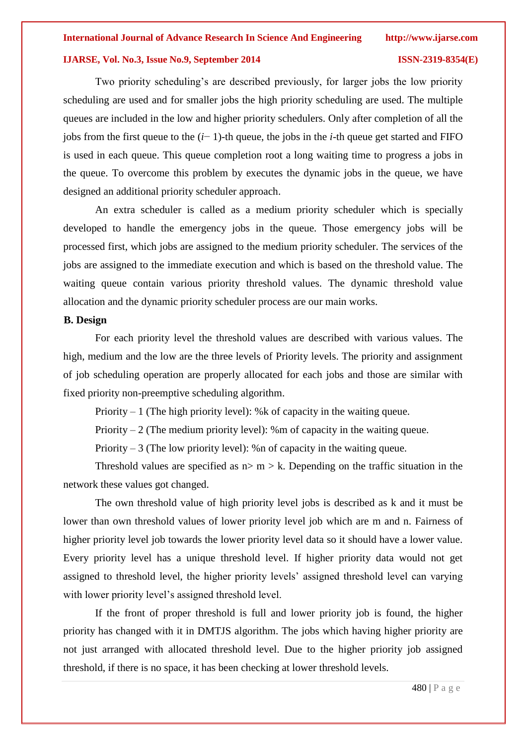Two priority scheduling's are described previously, for larger jobs the low priority scheduling are used and for smaller jobs the high priority scheduling are used. The multiple queues are included in the low and higher priority schedulers. Only after completion of all the jobs from the first queue to the (*i*− 1)-th queue, the jobs in the *i*-th queue get started and FIFO is used in each queue. This queue completion root a long waiting time to progress a jobs in the queue. To overcome this problem by executes the dynamic jobs in the queue, we have designed an additional priority scheduler approach.

An extra scheduler is called as a medium priority scheduler which is specially developed to handle the emergency jobs in the queue. Those emergency jobs will be processed first, which jobs are assigned to the medium priority scheduler. The services of the jobs are assigned to the immediate execution and which is based on the threshold value. The waiting queue contain various priority threshold values. The dynamic threshold value allocation and the dynamic priority scheduler process are our main works.

#### **B. Design**

For each priority level the threshold values are described with various values. The high, medium and the low are the three levels of Priority levels. The priority and assignment of job scheduling operation are properly allocated for each jobs and those are similar with fixed priority non-preemptive scheduling algorithm.

Priority  $-1$  (The high priority level): % k of capacity in the waiting queue.

Priority  $-2$  (The medium priority level): %m of capacity in the waiting queue.

Priority  $-3$  (The low priority level): %n of capacity in the waiting queue.

Threshold values are specified as  $n > m > k$ . Depending on the traffic situation in the network these values got changed.

The own threshold value of high priority level jobs is described as k and it must be lower than own threshold values of lower priority level job which are m and n. Fairness of higher priority level job towards the lower priority level data so it should have a lower value. Every priority level has a unique threshold level. If higher priority data would not get assigned to threshold level, the higher priority levels' assigned threshold level can varying with lower priority level's assigned threshold level.

If the front of proper threshold is full and lower priority job is found, the higher priority has changed with it in DMTJS algorithm. The jobs which having higher priority are not just arranged with allocated threshold level. Due to the higher priority job assigned threshold, if there is no space, it has been checking at lower threshold levels.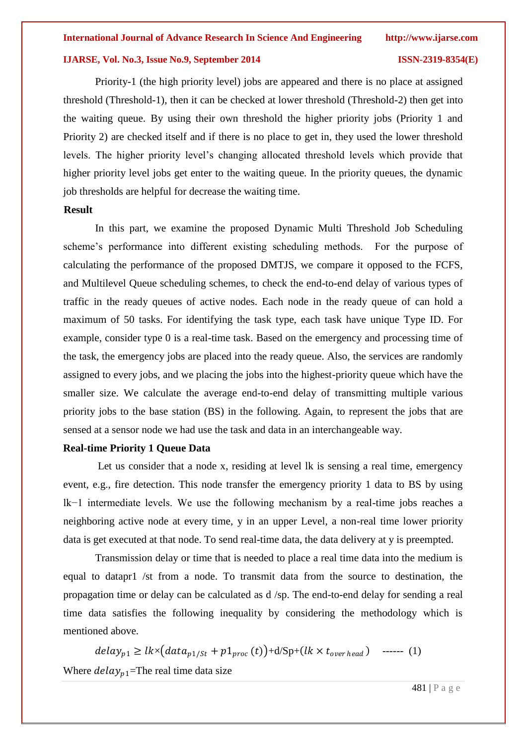Priority-1 (the high priority level) jobs are appeared and there is no place at assigned threshold (Threshold-1), then it can be checked at lower threshold (Threshold-2) then get into the waiting queue. By using their own threshold the higher priority jobs (Priority 1 and Priority 2) are checked itself and if there is no place to get in, they used the lower threshold levels. The higher priority level's changing allocated threshold levels which provide that higher priority level jobs get enter to the waiting queue. In the priority queues, the dynamic job thresholds are helpful for decrease the waiting time.

#### **Result**

In this part, we examine the proposed Dynamic Multi Threshold Job Scheduling scheme's performance into different existing scheduling methods. For the purpose of calculating the performance of the proposed DMTJS, we compare it opposed to the FCFS, and Multilevel Queue scheduling schemes, to check the end-to-end delay of various types of traffic in the ready queues of active nodes. Each node in the ready queue of can hold a maximum of 50 tasks. For identifying the task type, each task have unique Type ID. For example, consider type 0 is a real-time task. Based on the emergency and processing time of the task, the emergency jobs are placed into the ready queue. Also, the services are randomly assigned to every jobs, and we placing the jobs into the highest-priority queue which have the smaller size. We calculate the average end-to-end delay of transmitting multiple various priority jobs to the base station (BS) in the following. Again, to represent the jobs that are sensed at a sensor node we had use the task and data in an interchangeable way.

### **Real-time Priority 1 Queue Data**

Let us consider that a node x, residing at level lk is sensing a real time, emergency event, e.g., fire detection. This node transfer the emergency priority 1 data to BS by using lk−1 intermediate levels. We use the following mechanism by a real-time jobs reaches a neighboring active node at every time, y in an upper Level, a non-real time lower priority data is get executed at that node. To send real-time data, the data delivery at y is preempted.

Transmission delay or time that is needed to place a real time data into the medium is equal to datapr1 /st from a node. To transmit data from the source to destination, the propagation time or delay can be calculated as d /sp. The end-to-end delay for sending a real time data satisfies the following inequality by considering the methodology which is mentioned above.

 $delay_{p1} \geq lk \times (data_{p1/St} + p1_{proc}(t)) + d/Sp + (lk \times t_{overhead})$  ------ (1) Where  $delay_{p1}$ =The real time data size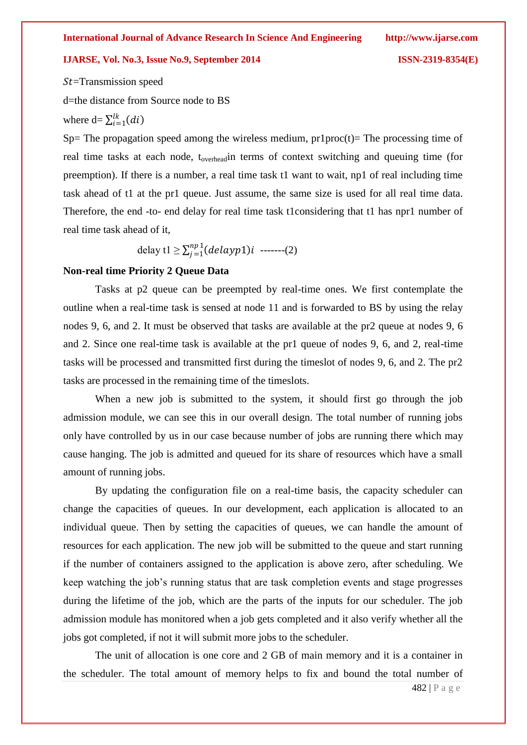$St = Transmission speed$ d=the distance from Source node to BS where  $d = \sum_{i=1}^{lk} (di)$ 

Sp= The propagation speed among the wireless medium,  $pr1proc(t)=$  The processing time of real time tasks at each node, t<sub>overhead</sub>in terms of context switching and queuing time (for preemption). If there is a number, a real time task t1 want to wait, np1 of real including time task ahead of t1 at the pr1 queue. Just assume, the same size is used for all real time data. Therefore, the end -to- end delay for real time task t1considering that t1 has npr1 number of real time task ahead of it,

delay t $1 \geq \sum_{i=1}^{np} (delayp1)i$  $\sum_{j=1}^{np} (delayp1)i$  -------(2)

#### **Non-real time Priority 2 Queue Data**

Tasks at p2 queue can be preempted by real-time ones. We first contemplate the outline when a real-time task is sensed at node 11 and is forwarded to BS by using the relay nodes 9, 6, and 2. It must be observed that tasks are available at the pr2 queue at nodes 9, 6 and 2. Since one real-time task is available at the pr1 queue of nodes 9, 6, and 2, real-time tasks will be processed and transmitted first during the timeslot of nodes 9, 6, and 2. The pr2 tasks are processed in the remaining time of the timeslots.

When a new job is submitted to the system, it should first go through the job admission module, we can see this in our overall design. The total number of running jobs only have controlled by us in our case because number of jobs are running there which may cause hanging. The job is admitted and queued for its share of resources which have a small amount of running jobs.

By updating the configuration file on a real-time basis, the capacity scheduler can change the capacities of queues. In our development, each application is allocated to an individual queue. Then by setting the capacities of queues, we can handle the amount of resources for each application. The new job will be submitted to the queue and start running if the number of containers assigned to the application is above zero, after scheduling. We keep watching the job's running status that are task completion events and stage progresses during the lifetime of the job, which are the parts of the inputs for our scheduler. The job admission module has monitored when a job gets completed and it also verify whether all the jobs got completed, if not it will submit more jobs to the scheduler.

The unit of allocation is one core and 2 GB of main memory and it is a container in the scheduler. The total amount of memory helps to fix and bound the total number of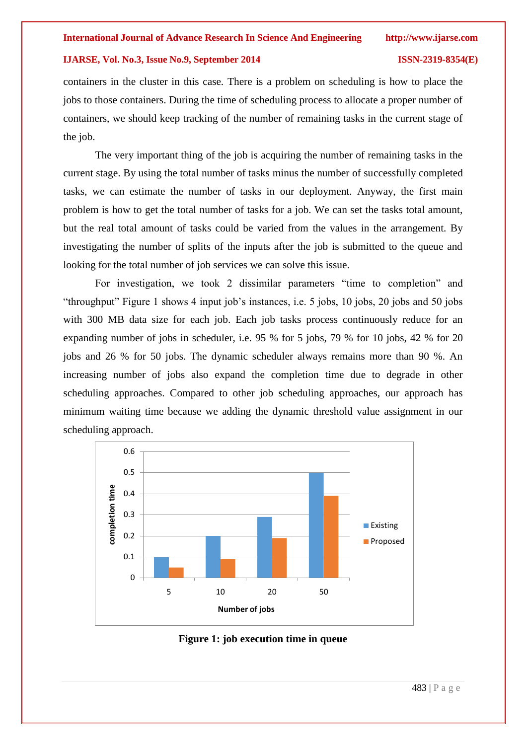containers in the cluster in this case. There is a problem on scheduling is how to place the jobs to those containers. During the time of scheduling process to allocate a proper number of containers, we should keep tracking of the number of remaining tasks in the current stage of the job.

The very important thing of the job is acquiring the number of remaining tasks in the current stage. By using the total number of tasks minus the number of successfully completed tasks, we can estimate the number of tasks in our deployment. Anyway, the first main problem is how to get the total number of tasks for a job. We can set the tasks total amount, but the real total amount of tasks could be varied from the values in the arrangement. By investigating the number of splits of the inputs after the job is submitted to the queue and looking for the total number of job services we can solve this issue.

For investigation, we took 2 dissimilar parameters "time to completion" and "throughput" Figure 1 shows 4 input job's instances, i.e. 5 jobs, 10 jobs, 20 jobs and 50 jobs with 300 MB data size for each job. Each job tasks process continuously reduce for an expanding number of jobs in scheduler, i.e. 95 % for 5 jobs, 79 % for 10 jobs, 42 % for 20 jobs and 26 % for 50 jobs. The dynamic scheduler always remains more than 90 %. An increasing number of jobs also expand the completion time due to degrade in other scheduling approaches. Compared to other job scheduling approaches, our approach has minimum waiting time because we adding the dynamic threshold value assignment in our scheduling approach.



**Figure 1: job execution time in queue**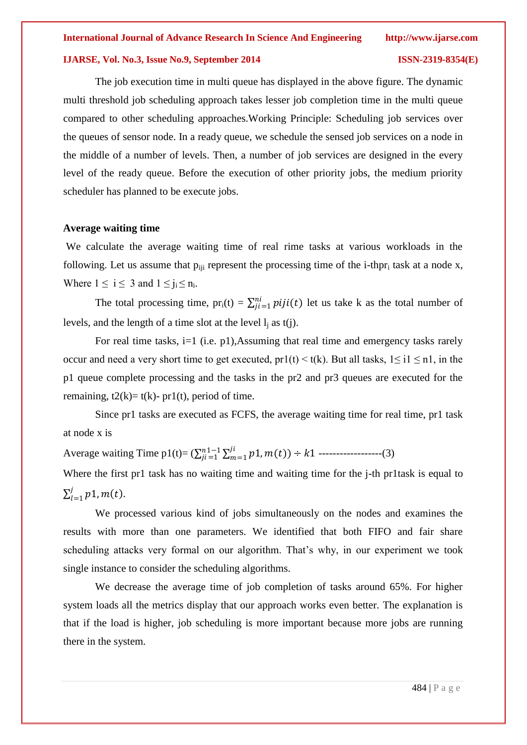The job execution time in multi queue has displayed in the above figure. The dynamic multi threshold job scheduling approach takes lesser job completion time in the multi queue compared to other scheduling approaches.Working Principle: Scheduling job services over the queues of sensor node. In a ready queue, we schedule the sensed job services on a node in the middle of a number of levels. Then, a number of job services are designed in the every level of the ready queue. Before the execution of other priority jobs, the medium priority scheduler has planned to be execute jobs.

### **Average waiting time**

We calculate the average waiting time of real rime tasks at various workloads in the following. Let us assume that  $p_{\text{iii}}$  represent the processing time of the i-thpr<sub>i</sub> task at a node x, Where  $1 \le i \le 3$  and  $1 \le j_i \le n_i$ .

The total processing time,  $pr_i(t) = \sum_{j=i}^{ni} piji(t)$  let us take k as the total number of levels, and the length of a time slot at the level  $l_i$  as  $t(i)$ .

For real time tasks, i=1 (i.e. p1),Assuming that real time and emergency tasks rarely occur and need a very short time to get executed,  $pr1(t) < t(k)$ . But all tasks,  $1 \le i1 \le n1$ , in the p1 queue complete processing and the tasks in the pr2 and pr3 queues are executed for the remaining,  $t2(k)= t(k)$ - pr1(t), period of time.

Since pr1 tasks are executed as FCFS, the average waiting time for real time, pr1 task at node x is

Average waiting Time p1(t)=  $(\sum_{i=1}^{n} \sum_{m=1}^{i} p1, m(t)) \div k1$  $m=1$  $\sum_{ji=1}^{n1-1} \sum_{m=1}^{ji} p1,m(t)$   $\div k1$  ------------------(3)

Where the first pr1 task has no waiting time and waiting time for the *j*-th pr1task is equal to  $\sum_{l=1}^{j} p1$ ,  $m(t)$ .  $l=1$ 

We processed various kind of jobs simultaneously on the nodes and examines the results with more than one parameters. We identified that both FIFO and fair share scheduling attacks very formal on our algorithm. That's why, in our experiment we took single instance to consider the scheduling algorithms.

We decrease the average time of job completion of tasks around 65%. For higher system loads all the metrics display that our approach works even better. The explanation is that if the load is higher, job scheduling is more important because more jobs are running there in the system.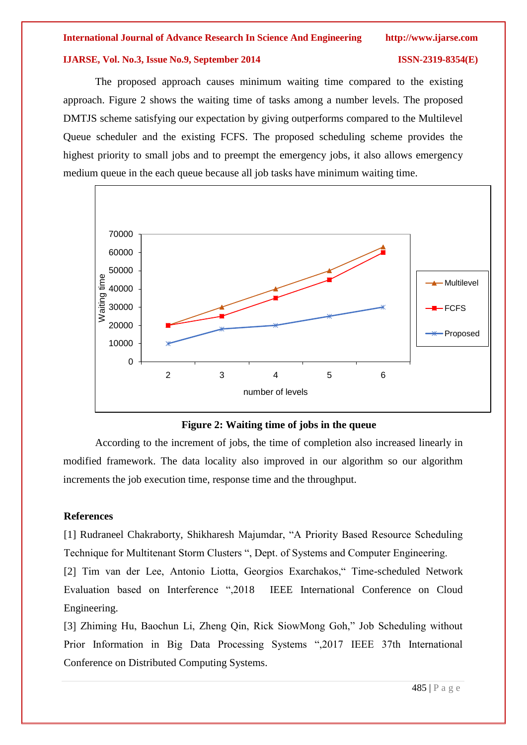The proposed approach causes minimum waiting time compared to the existing approach. Figure 2 shows the waiting time of tasks among a number levels. The proposed DMTJS scheme satisfying our expectation by giving outperforms compared to the Multilevel Queue scheduler and the existing FCFS. The proposed scheduling scheme provides the highest priority to small jobs and to preempt the emergency jobs, it also allows emergency medium queue in the each queue because all job tasks have minimum waiting time.



### **Figure 2: Waiting time of jobs in the queue**

According to the increment of jobs, the time of completion also increased linearly in modified framework. The data locality also improved in our algorithm so our algorithm increments the job execution time, response time and the throughput.

### **References**

[1] Rudraneel Chakraborty, Shikharesh Majumdar, "A Priority Based Resource Scheduling Technique for Multitenant Storm Clusters ", Dept. of Systems and Computer Engineering.

[2] Tim van der Lee, Antonio Liotta, Georgios Exarchakos," Time-scheduled Network Evaluation based on Interference ",2018 IEEE International Conference on Cloud Engineering.

[3] Zhiming Hu, Baochun Li, Zheng Qin, Rick SiowMong Goh," Job Scheduling without Prior Information in Big Data Processing Systems ",2017 IEEE 37th International Conference on Distributed Computing Systems.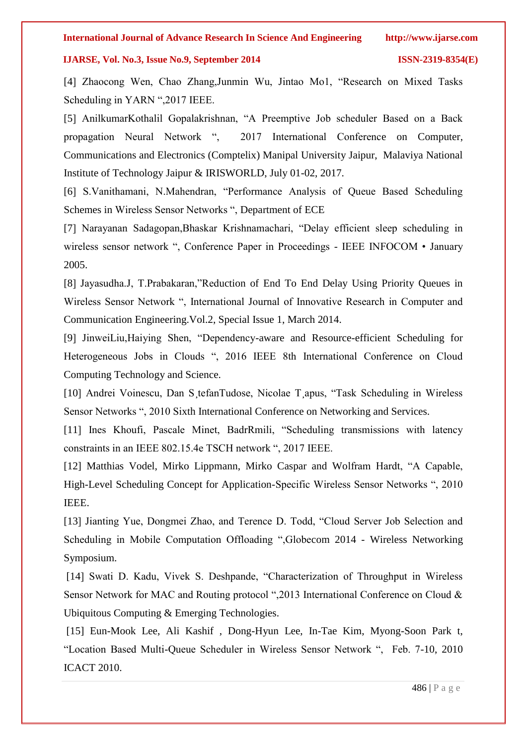[4] Zhaocong Wen, Chao Zhang,Junmin Wu, Jintao Mo1, "Research on Mixed Tasks Scheduling in YARN ",2017 IEEE.

[5] AnilkumarKothalil Gopalakrishnan, "A Preemptive Job scheduler Based on a Back propagation Neural Network ", 2017 International Conference on Computer, Communications and Electronics (Comptelix) Manipal University Jaipur, Malaviya National Institute of Technology Jaipur & IRISWORLD, July 01-02, 2017.

[6] S.Vanithamani, N.Mahendran, "Performance Analysis of Queue Based Scheduling Schemes in Wireless Sensor Networks ", Department of ECE

[7] Narayanan Sadagopan,Bhaskar Krishnamachari, "Delay efficient sleep scheduling in wireless sensor network ", Conference Paper in Proceedings - IEEE INFOCOM • January 2005.

[8] Jayasudha.J, T.Prabakaran,"Reduction of End To End Delay Using Priority Queues in Wireless Sensor Network ", International Journal of Innovative Research in Computer and Communication Engineering.Vol.2, Special Issue 1, March 2014.

[9] JinweiLiu,Haiying Shen, "Dependency-aware and Resource-efficient Scheduling for Heterogeneous Jobs in Clouds ", 2016 IEEE 8th International Conference on Cloud Computing Technology and Science.

[10] Andrei Voinescu, Dan S¸tefanTudose, Nicolae T¸apus, "Task Scheduling in Wireless Sensor Networks ", 2010 Sixth International Conference on Networking and Services.

[11] Ines Khoufi, Pascale Minet, BadrRmili, "Scheduling transmissions with latency constraints in an IEEE 802.15.4e TSCH network ", 2017 IEEE.

[12] Matthias Vodel, Mirko Lippmann, Mirko Caspar and Wolfram Hardt, "A Capable, High-Level Scheduling Concept for Application-Specific Wireless Sensor Networks ", 2010 IEEE.

[13] Jianting Yue, Dongmei Zhao, and Terence D. Todd, "Cloud Server Job Selection and Scheduling in Mobile Computation Offloading ",Globecom 2014 - Wireless Networking Symposium.

[14] Swati D. Kadu, Vivek S. Deshpande, "Characterization of Throughput in Wireless Sensor Network for MAC and Routing protocol ",2013 International Conference on Cloud & Ubiquitous Computing & Emerging Technologies.

[15] Eun-Mook Lee, Ali Kashif , Dong-Hyun Lee, In-Tae Kim, Myong-Soon Park t, "Location Based Multi-Queue Scheduler in Wireless Sensor Network ", Feb. 7-10, 2010 ICACT 2010.